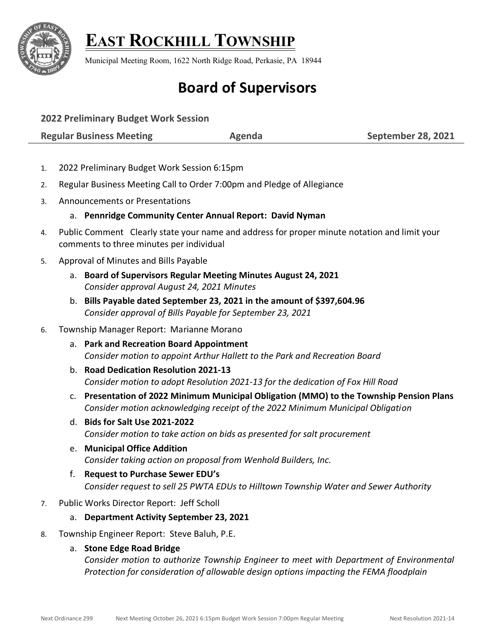

## **EAST ROCKHILL TOWNSHIP**

Municipal Meeting Room, 1622 North Ridge Road, Perkasie, PA 18944

# **Board of Supervisors**

**2022 Preliminary Budget Work Session**

**Regular Business Meeting Agenda September 28, 2021**

- 1. 2022 Preliminary Budget Work Session 6:15pm
- 2. Regular Business Meeting Call to Order 7:00pm and Pledge of Allegiance
- 3. Announcements or Presentations

## a. **Pennridge Community Center Annual Report: David Nyman**

- 4. Public Comment Clearly state your name and address for proper minute notation and limit your comments to three minutes per individual
- 5. Approval of Minutes and Bills Payable
	- a. **Board of Supervisors Regular Meeting Minutes August 24, 2021** *Consider approval August 24, 2021 Minutes*
	- b. **Bills Payable dated September 23, 2021 in the amount of \$397,604.96** *Consider approval of Bills Payable for September 23, 2021*

## 6. Township Manager Report: Marianne Morano

- a. **Park and Recreation Board Appointment** *Consider motion to appoint Arthur Hallett to the Park and Recreation Board*
- b. **Road Dedication Resolution 2021-13** *Consider motion to adopt Resolution 2021-13 for the dedication of Fox Hill Road*
- c. **Presentation of 2022 Minimum Municipal Obligation (MMO) to the Township Pension Plans** *Consider motion acknowledging receipt of the 2022 Minimum Municipal Obligation*
- d. **Bids for Salt Use 2021-2022**  *Consider motion to take action on bids as presented for salt procurement*
- e. **Municipal Office Addition** *Consider taking action on proposal from Wenhold Builders, Inc.*
- f. **Request to Purchase Sewer EDU's** *Consider request to sell 25 PWTA EDUs to Hilltown Township Water and Sewer Authority*
- 7. Public Works Director Report: Jeff Scholl

#### a. **Department Activity September 23, 2021**

8. Township Engineer Report: Steve Baluh, P.E.

## a. **Stone Edge Road Bridge**

*Consider motion to authorize Township Engineer to meet with Department of Environmental Protection for consideration of allowable design options impacting the FEMA floodplain*